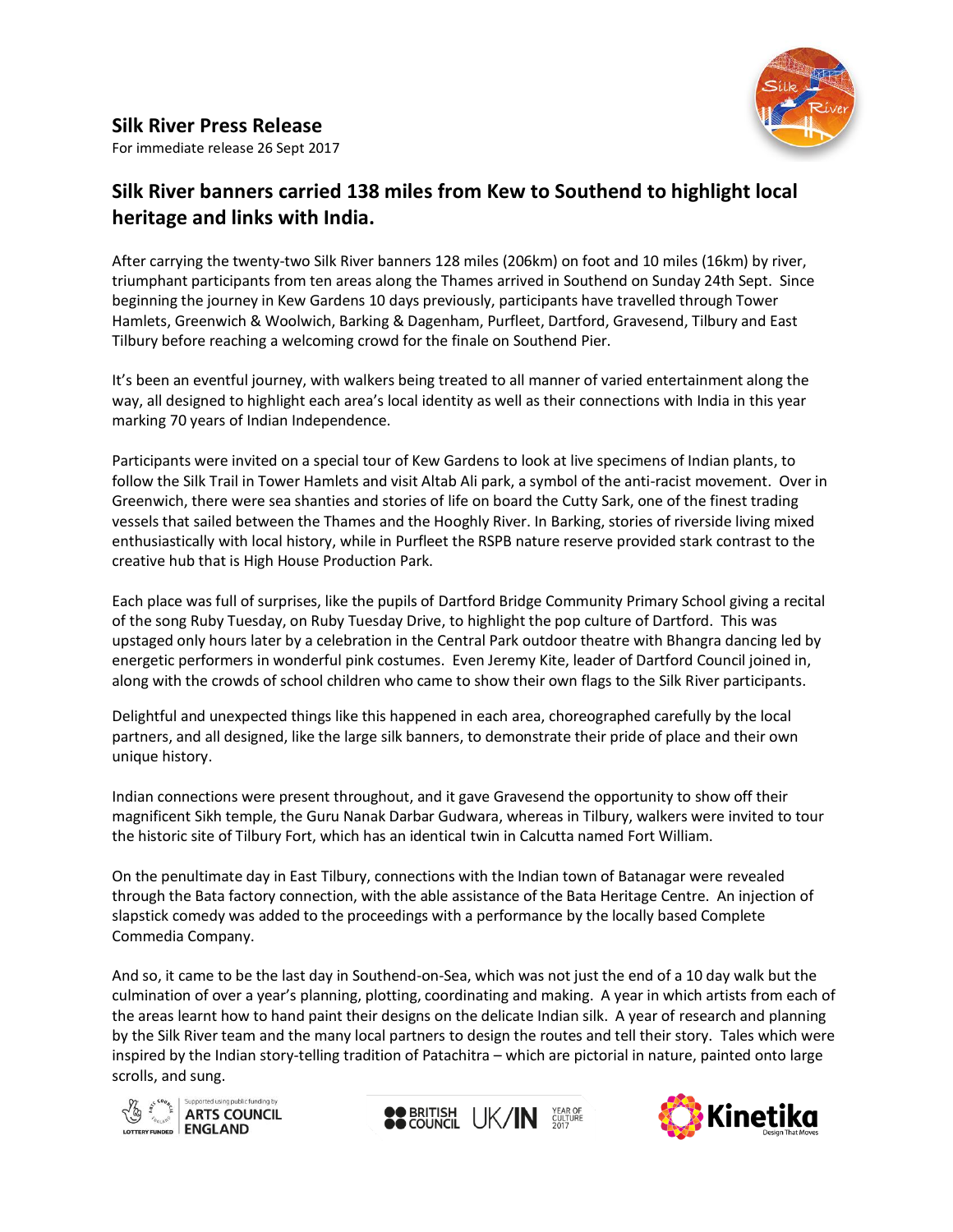

**Silk River Press Release** For immediate release 26 Sept 2017

# **Silk River banners carried 138 miles from Kew to Southend to highlight local heritage and links with India.**

After carrying the twenty-two Silk River banners 128 miles (206km) on foot and 10 miles (16km) by river, triumphant participants from ten areas along the Thames arrived in Southend on Sunday 24th Sept. Since beginning the journey in Kew Gardens 10 days previously, participants have travelled through Tower Hamlets, Greenwich & Woolwich, Barking & Dagenham, Purfleet, Dartford, Gravesend, Tilbury and East Tilbury before reaching a welcoming crowd for the finale on Southend Pier.

It's been an eventful journey, with walkers being treated to all manner of varied entertainment along the way, all designed to highlight each area's local identity as well as their connections with India in this year marking 70 years of Indian Independence.

Participants were invited on a special tour of Kew Gardens to look at live specimens of Indian plants, to follow the Silk Trail in Tower Hamlets and visit Altab Ali park, a symbol of the anti-racist movement. Over in Greenwich, there were sea shanties and stories of life on board the Cutty Sark, one of the finest trading vessels that sailed between the Thames and the Hooghly River. In Barking, stories of riverside living mixed enthusiastically with local history, while in Purfleet the RSPB nature reserve provided stark contrast to the creative hub that is High House Production Park.

Each place was full of surprises, like the pupils of Dartford Bridge Community Primary School giving a recital of the song Ruby Tuesday, on Ruby Tuesday Drive, to highlight the pop culture of Dartford. This was upstaged only hours later by a celebration in the Central Park outdoor theatre with Bhangra dancing led by energetic performers in wonderful pink costumes. Even Jeremy Kite, leader of Dartford Council joined in, along with the crowds of school children who came to show their own flags to the Silk River participants.

Delightful and unexpected things like this happened in each area, choreographed carefully by the local partners, and all designed, like the large silk banners, to demonstrate their pride of place and their own unique history.

Indian connections were present throughout, and it gave Gravesend the opportunity to show off their magnificent Sikh temple, the Guru Nanak Darbar Gudwara, whereas in Tilbury, walkers were invited to tour the historic site of Tilbury Fort, which has an identical twin in Calcutta named Fort William.

On the penultimate day in East Tilbury, connections with the Indian town of Batanagar were revealed through the Bata factory connection, with the able assistance of the Bata Heritage Centre. An injection of slapstick comedy was added to the proceedings with a performance by the locally based Complete Commedia Company.

And so, it came to be the last day in Southend-on-Sea, which was not just the end of a 10 day walk but the culmination of over a year's planning, plotting, coordinating and making. A year in which artists from each of the areas learnt how to hand paint their designs on the delicate Indian silk. A year of research and planning by the Silk River team and the many local partners to design the routes and tell their story. Tales which were inspired by the Indian story-telling tradition of Patachitra – which are pictorial in nature, painted onto large scrolls, and sung.





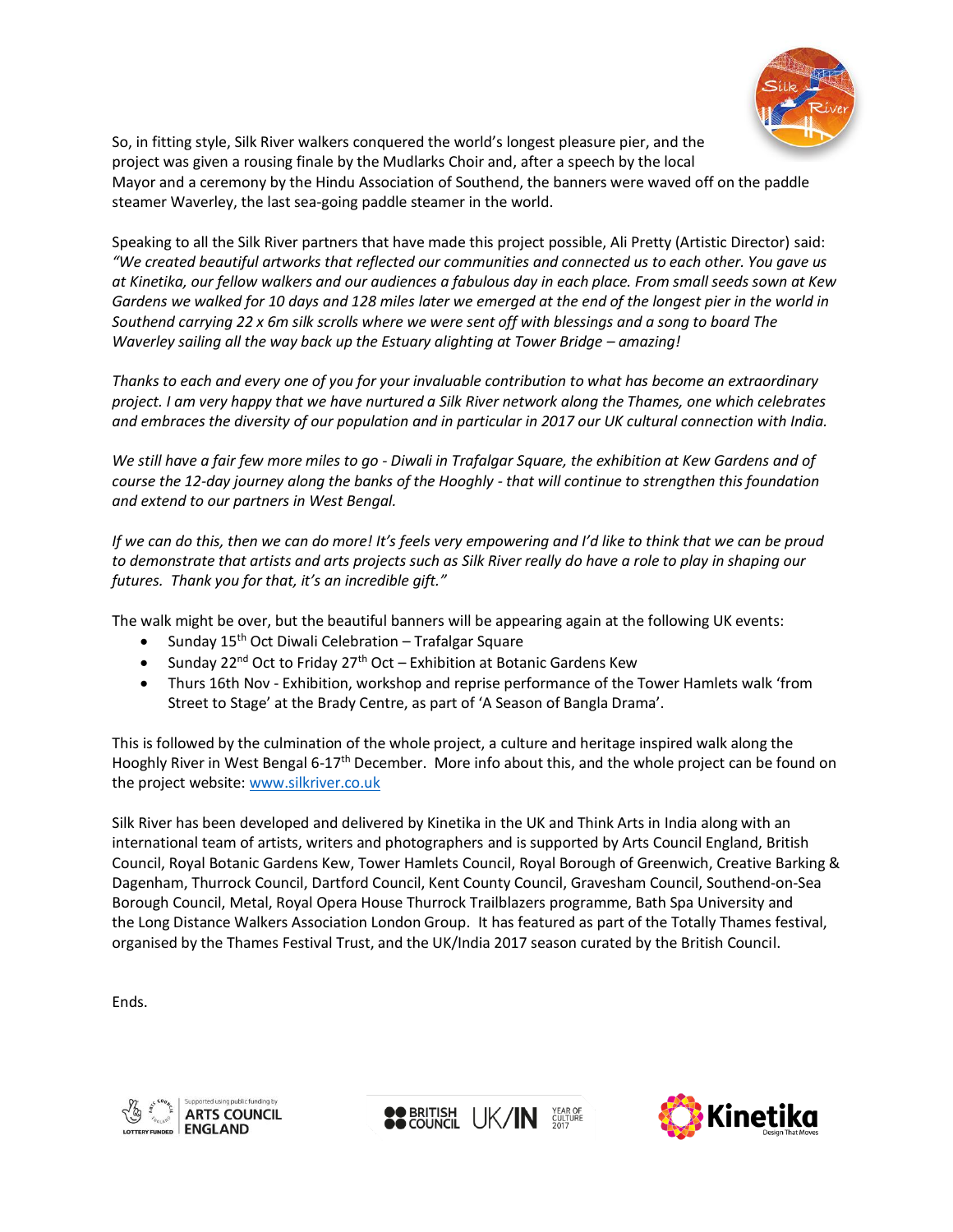

So, in fitting style, Silk River walkers conquered the world's longest pleasure pier, and the project was given a rousing finale by the Mudlarks Choir and, after a speech by the local Mayor and a ceremony by the Hindu Association of Southend, the banners were waved off on the paddle steamer Waverley, the last sea-going paddle steamer in the world.

Speaking to all the Silk River partners that have made this project possible, Ali Pretty (Artistic Director) said: *"We created beautiful artworks that reflected our communities and connected us to each other. You gave us at Kinetika, our fellow walkers and our audiences a fabulous day in each place. From small seeds sown at Kew Gardens we walked for 10 days and 128 miles later we emerged at the end of the longest pier in the world in Southend carrying 22 x 6m silk scrolls where we were sent off with blessings and a song to board The Waverley sailing all the way back up the Estuary alighting at Tower Bridge – amazing!* 

*Thanks to each and every one of you for your invaluable contribution to what has become an extraordinary project. I am very happy that we have nurtured a Silk River network along the Thames, one which celebrates and embraces the diversity of our population and in particular in 2017 our UK cultural connection with India.*

*We still have a fair few more miles to go - Diwali in Trafalgar Square, the exhibition at Kew Gardens and of course the 12-day journey along the banks of the Hooghly - that will continue to strengthen this foundation and extend to our partners in West Bengal.*

*If we can do this, then we can do more! It's feels very empowering and I'd like to think that we can be proud to demonstrate that artists and arts projects such as Silk River really do have a role to play in shaping our futures. Thank you for that, it's an incredible gift."*

The walk might be over, but the beautiful banners will be appearing again at the following UK events:

- Sunday 15<sup>th</sup> Oct Diwali Celebration Trafalgar Square
- Sunday 22<sup>nd</sup> Oct to Friday 27<sup>th</sup> Oct Exhibition at Botanic Gardens Kew
- Thurs 16th Nov Exhibition, workshop and reprise performance of the Tower Hamlets walk 'from Street to Stage' at the Brady Centre, as part of 'A Season of Bangla Drama'.

This is followed by the culmination of the whole project, a culture and heritage inspired walk along the Hooghly River in West Bengal 6-17th December. More info about this, and the whole project can be found on the project website: [www.silkriver.co.uk](http://www.silkriver.co.uk/)

Silk River has been developed and delivered by Kinetika in the UK and Think Arts in India along with an international team of artists, writers and photographers and is supported by Arts Council England, British Council, Royal Botanic Gardens Kew, Tower Hamlets Council, Royal Borough of Greenwich, Creative Barking & Dagenham, Thurrock Council, Dartford Council, Kent County Council, Gravesham Council, Southend-on-Sea Borough Council, Metal, Royal Opera House Thurrock Trailblazers programme, Bath Spa University and the Long Distance Walkers Association London Group. It has featured as part of the Totally Thames festival, organised by the Thames Festival Trust, and the UK/India 2017 season curated by the British Council.

Ends.





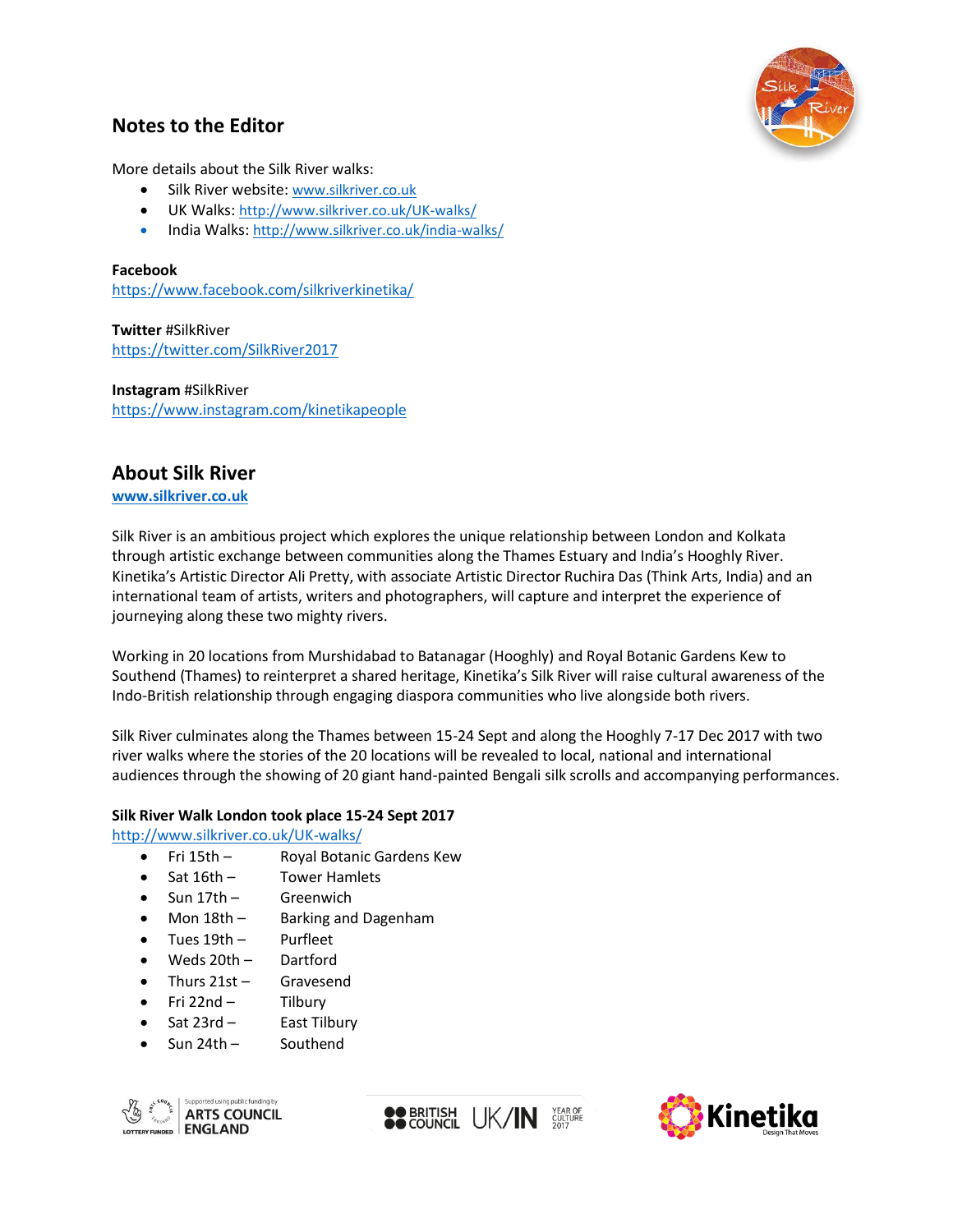

# **Notes to the Editor**

More details about the Silk River walks:

- Silk River website: [www.silkriver.co.uk](http://www.silkriver.co.uk/)
- UK Walks: <http://www.silkriver.co.uk/UK-walks/>
- India Walks: <http://www.silkriver.co.uk/india-walks/>

#### **Facebook**

<https://www.facebook.com/silkriverkinetika/>

**Twitter** #SilkRiver <https://twitter.com/SilkRiver2017>

**Instagram** #SilkRiver <https://www.instagram.com/kinetikapeople>

# **About Silk River**

**[www.silkriver.co.uk](http://www.silkriver.co.uk/)**

Silk River is an ambitious project which explores the unique relationship between London and Kolkata through artistic exchange between communities along the Thames Estuary and India's Hooghly River. Kinetika's Artistic Director Ali Pretty, with associate Artistic Director Ruchira Das (Think Arts, India) and an international team of artists, writers and photographers, will capture and interpret the experience of journeying along these two mighty rivers.

Working in 20 locations from Murshidabad to Batanagar (Hooghly) and Royal Botanic Gardens Kew to Southend (Thames) to reinterpret a shared heritage, Kinetika's Silk River will raise cultural awareness of the Indo-British relationship through engaging diaspora communities who live alongside both rivers.

Silk River culminates along the Thames between 15-24 Sept and along the Hooghly 7-17 Dec 2017 with two river walks where the stories of the 20 locations will be revealed to local, national and international audiences through the showing of 20 giant hand-painted Bengali silk scrolls and accompanying performances.

#### **Silk River Walk London took place 15-24 Sept 2017**

<http://www.silkriver.co.uk/UK-walks/>

- Fri 15th Royal Botanic Gardens Kew
- Sat 16th Tower Hamlets
- Sun 17th Greenwich
- Mon 18th Barking and Dagenham
- Tues 19th Purfleet
- Weds 20th Dartford
- Thurs 21st Gravesend
- Fri 22nd Tilbury
- Sat 23rd East Tilbury
- Sun 24th Southend